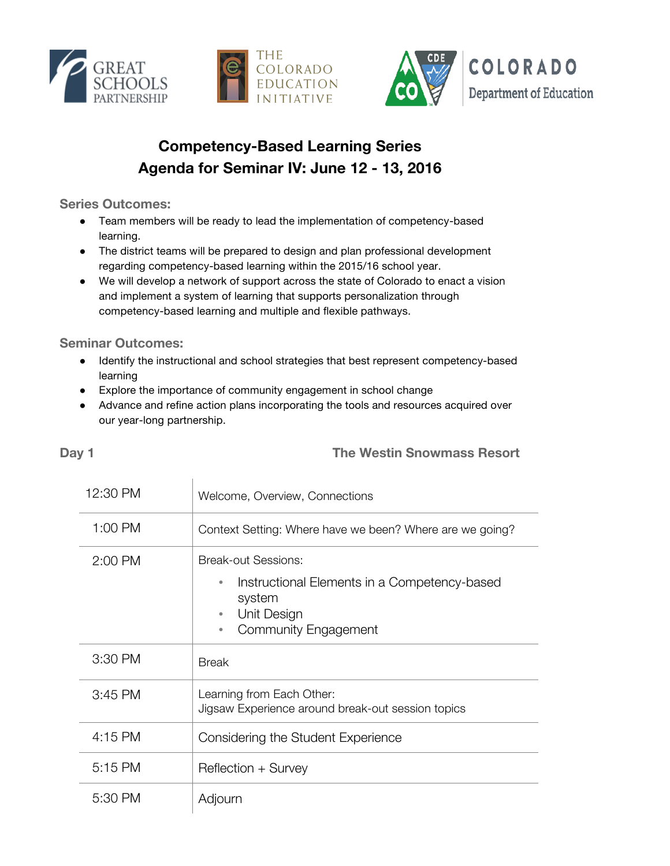





## **Competency-Based Learning Series Agenda for Seminar IV: June 12 - 13, 2016**

**Series Outcomes:**

- Team members will be ready to lead the implementation of competency-based learning.
- The district teams will be prepared to design and plan professional development regarding competency-based learning within the 2015/16 school year.
- We will develop a network of support across the state of Colorado to enact a vision and implement a system of learning that supports personalization through competency-based learning and multiple and flexible pathways.

**Seminar Outcomes:**

- Identify the instructional and school strategies that best represent competency-based learning
- Explore the importance of community engagement in school change
- Advance and refine action plans incorporating the tools and resources acquired over our year-long partnership.

## 12:30 PM Welcome, Overview, Connections 1:00 PM Context Setting: Where have we been? Where are we going? 2:00 PM Break-out Sessions: Instructional Elements in a Competency-based system • Unit Design • Community Engagement  $3:30$  PM Break 3:45 PM Learning from Each Other: Jigsaw Experience around break-out session topics 4:15 PM Considering the Student Experience 5:15 PM Reflection + Survey 5:30 PM | Adjourn

## **Day 1 The Westin Snowmass Resort**